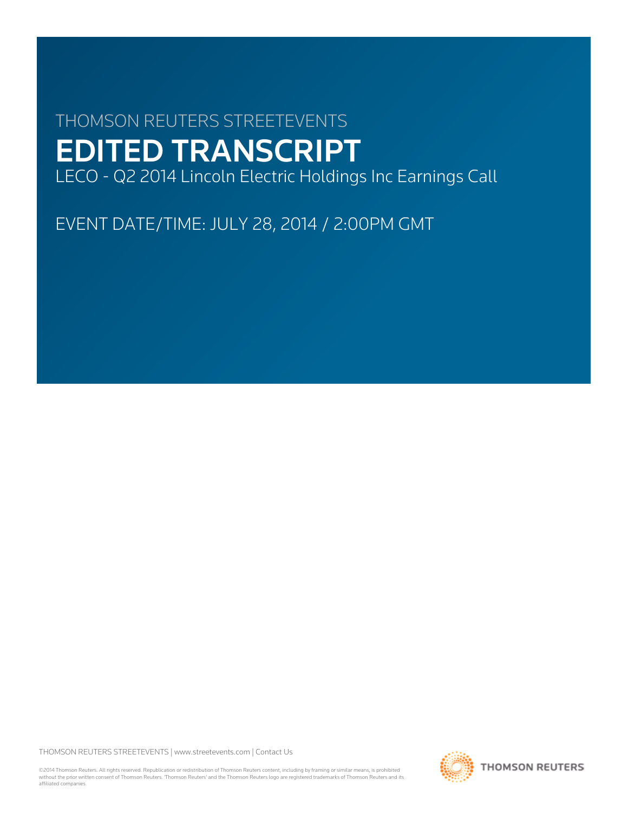# THOMSON REUTERS STREETEVENTS EDITED TRANSCRIPT LECO - Q2 2014 Lincoln Electric Holdings Inc Earnings Call

EVENT DATE/TIME: JULY 28, 2014 / 2:00PM GMT

THOMSON REUTERS STREETEVENTS | [www.streetevents.com](http://www.streetevents.com) | [Contact Us](http://www010.streetevents.com/contact.asp)

©2014 Thomson Reuters. All rights reserved. Republication or redistribution of Thomson Reuters content, including by framing or similar means, is prohibited without the prior written consent of Thomson Reuters. 'Thomson Reuters' and the Thomson Reuters logo are registered trademarks of Thomson Reuters and its affiliated companies.

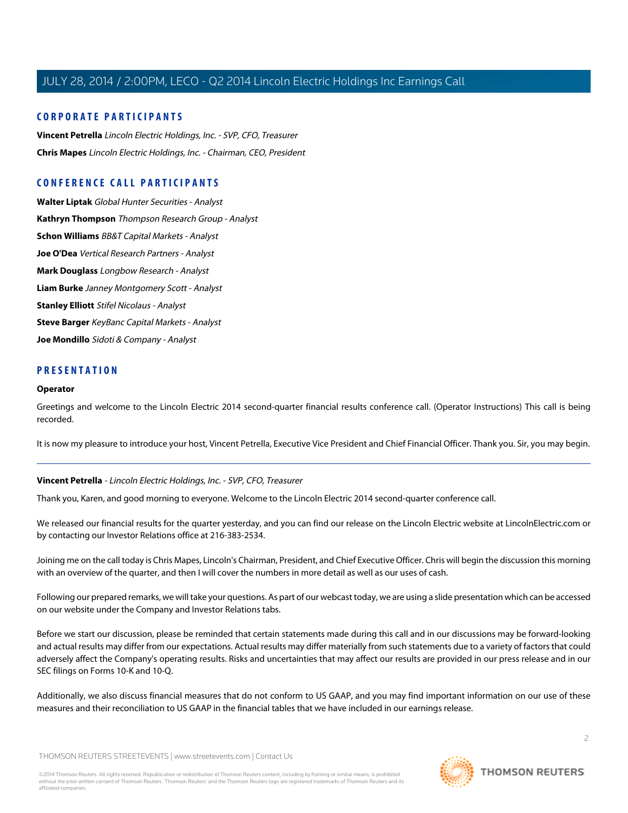# **CORPORATE PARTICIPANTS**

**[Vincent Petrella](#page-1-0)** Lincoln Electric Holdings, Inc. - SVP, CFO, Treasurer **[Chris Mapes](#page-2-0)** Lincoln Electric Holdings, Inc. - Chairman, CEO, President

# **CONFERENCE CALL PARTICIPANTS**

**[Walter Liptak](#page-4-0)** Global Hunter Securities - Analyst **[Kathryn Thompson](#page-6-0)** Thompson Research Group - Analyst **[Schon Williams](#page-7-0)** BB&T Capital Markets - Analyst **[Joe O'Dea](#page-8-0)** Vertical Research Partners - Analyst **[Mark Douglass](#page-9-0)** Longbow Research - Analyst **[Liam Burke](#page-11-0)** Janney Montgomery Scott - Analyst **[Stanley Elliott](#page-12-0)** Stifel Nicolaus - Analyst **[Steve Barger](#page-13-0)** KeyBanc Capital Markets - Analyst **[Joe Mondillo](#page-15-0)** Sidoti & Company - Analyst

# **PRESENTATION**

#### **Operator**

Greetings and welcome to the Lincoln Electric 2014 second-quarter financial results conference call. (Operator Instructions) This call is being recorded.

<span id="page-1-0"></span>It is now my pleasure to introduce your host, Vincent Petrella, Executive Vice President and Chief Financial Officer. Thank you. Sir, you may begin.

#### **Vincent Petrella** - Lincoln Electric Holdings, Inc. - SVP, CFO, Treasurer

Thank you, Karen, and good morning to everyone. Welcome to the Lincoln Electric 2014 second-quarter conference call.

We released our financial results for the quarter yesterday, and you can find our release on the Lincoln Electric website at LincolnElectric.com or by contacting our Investor Relations office at 216-383-2534.

Joining me on the call today is Chris Mapes, Lincoln's Chairman, President, and Chief Executive Officer. Chris will begin the discussion this morning with an overview of the quarter, and then I will cover the numbers in more detail as well as our uses of cash.

Following our prepared remarks, we will take your questions. As part of our webcast today, we are using a slide presentation which can be accessed on our website under the Company and Investor Relations tabs.

Before we start our discussion, please be reminded that certain statements made during this call and in our discussions may be forward-looking and actual results may differ from our expectations. Actual results may differ materially from such statements due to a variety of factors that could adversely affect the Company's operating results. Risks and uncertainties that may affect our results are provided in our press release and in our SEC filings on Forms 10-K and 10-Q.

Additionally, we also discuss financial measures that do not conform to US GAAP, and you may find important information on our use of these measures and their reconciliation to US GAAP in the financial tables that we have included in our earnings release.

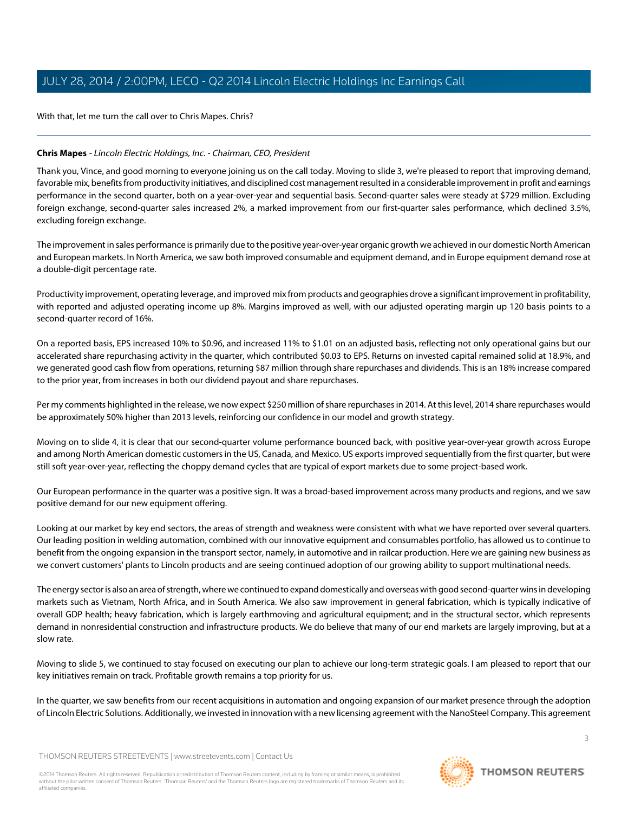With that, let me turn the call over to Chris Mapes. Chris?

#### <span id="page-2-0"></span>**Chris Mapes** - Lincoln Electric Holdings, Inc. - Chairman, CEO, President

Thank you, Vince, and good morning to everyone joining us on the call today. Moving to slide 3, we're pleased to report that improving demand, favorable mix, benefits from productivity initiatives, and disciplined cost management resulted in a considerable improvement in profit and earnings performance in the second quarter, both on a year-over-year and sequential basis. Second-quarter sales were steady at \$729 million. Excluding foreign exchange, second-quarter sales increased 2%, a marked improvement from our first-quarter sales performance, which declined 3.5%, excluding foreign exchange.

The improvement in sales performance is primarily due to the positive year-over-year organic growth we achieved in our domestic North American and European markets. In North America, we saw both improved consumable and equipment demand, and in Europe equipment demand rose at a double-digit percentage rate.

Productivity improvement, operating leverage, and improved mix from products and geographies drove a significant improvement in profitability, with reported and adjusted operating income up 8%. Margins improved as well, with our adjusted operating margin up 120 basis points to a second-quarter record of 16%.

On a reported basis, EPS increased 10% to \$0.96, and increased 11% to \$1.01 on an adjusted basis, reflecting not only operational gains but our accelerated share repurchasing activity in the quarter, which contributed \$0.03 to EPS. Returns on invested capital remained solid at 18.9%, and we generated good cash flow from operations, returning \$87 million through share repurchases and dividends. This is an 18% increase compared to the prior year, from increases in both our dividend payout and share repurchases.

Per my comments highlighted in the release, we now expect \$250 million of share repurchases in 2014. At this level, 2014 share repurchases would be approximately 50% higher than 2013 levels, reinforcing our confidence in our model and growth strategy.

Moving on to slide 4, it is clear that our second-quarter volume performance bounced back, with positive year-over-year growth across Europe and among North American domestic customers in the US, Canada, and Mexico. US exports improved sequentially from the first quarter, but were still soft year-over-year, reflecting the choppy demand cycles that are typical of export markets due to some project-based work.

Our European performance in the quarter was a positive sign. It was a broad-based improvement across many products and regions, and we saw positive demand for our new equipment offering.

Looking at our market by key end sectors, the areas of strength and weakness were consistent with what we have reported over several quarters. Our leading position in welding automation, combined with our innovative equipment and consumables portfolio, has allowed us to continue to benefit from the ongoing expansion in the transport sector, namely, in automotive and in railcar production. Here we are gaining new business as we convert customers' plants to Lincoln products and are seeing continued adoption of our growing ability to support multinational needs.

The energy sector is also an area of strength, where we continued to expand domestically and overseas with good second-quarter wins in developing markets such as Vietnam, North Africa, and in South America. We also saw improvement in general fabrication, which is typically indicative of overall GDP health; heavy fabrication, which is largely earthmoving and agricultural equipment; and in the structural sector, which represents demand in nonresidential construction and infrastructure products. We do believe that many of our end markets are largely improving, but at a slow rate.

Moving to slide 5, we continued to stay focused on executing our plan to achieve our long-term strategic goals. I am pleased to report that our key initiatives remain on track. Profitable growth remains a top priority for us.

In the quarter, we saw benefits from our recent acquisitions in automation and ongoing expansion of our market presence through the adoption of Lincoln Electric Solutions. Additionally, we invested in innovation with a new licensing agreement with the NanoSteel Company. This agreement

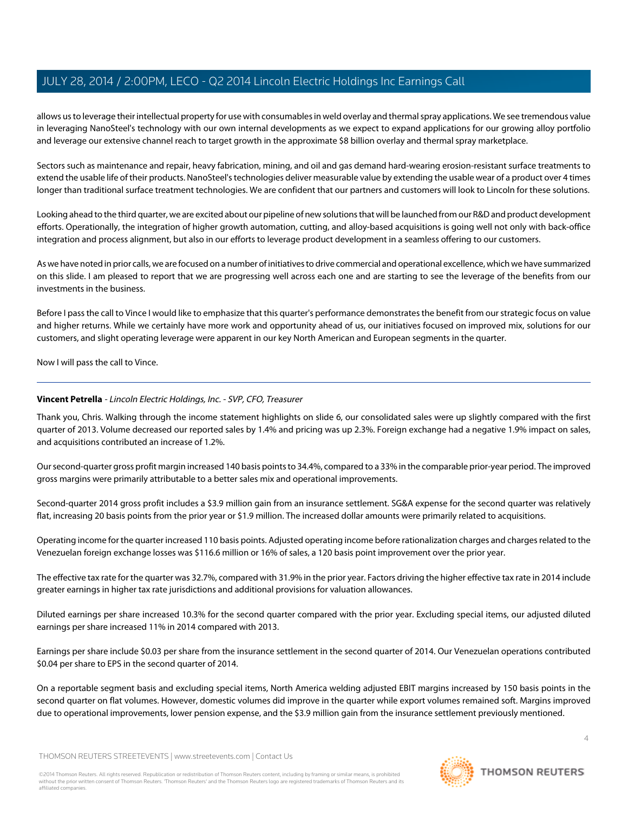allows us to leverage their intellectual property for use with consumables in weld overlay and thermal spray applications. We see tremendous value in leveraging NanoSteel's technology with our own internal developments as we expect to expand applications for our growing alloy portfolio and leverage our extensive channel reach to target growth in the approximate \$8 billion overlay and thermal spray marketplace.

Sectors such as maintenance and repair, heavy fabrication, mining, and oil and gas demand hard-wearing erosion-resistant surface treatments to extend the usable life of their products. NanoSteel's technologies deliver measurable value by extending the usable wear of a product over 4 times longer than traditional surface treatment technologies. We are confident that our partners and customers will look to Lincoln for these solutions.

Looking ahead to the third quarter, we are excited about our pipeline of new solutions that will be launched from our R&D and product development efforts. Operationally, the integration of higher growth automation, cutting, and alloy-based acquisitions is going well not only with back-office integration and process alignment, but also in our efforts to leverage product development in a seamless offering to our customers.

As we have noted in prior calls, we are focused on a number of initiatives to drive commercial and operational excellence, which we have summarized on this slide. I am pleased to report that we are progressing well across each one and are starting to see the leverage of the benefits from our investments in the business.

Before I pass the call to Vince I would like to emphasize that this quarter's performance demonstrates the benefit from our strategic focus on value and higher returns. While we certainly have more work and opportunity ahead of us, our initiatives focused on improved mix, solutions for our customers, and slight operating leverage were apparent in our key North American and European segments in the quarter.

Now I will pass the call to Vince.

# **Vincent Petrella** - Lincoln Electric Holdings, Inc. - SVP, CFO, Treasurer

Thank you, Chris. Walking through the income statement highlights on slide 6, our consolidated sales were up slightly compared with the first quarter of 2013. Volume decreased our reported sales by 1.4% and pricing was up 2.3%. Foreign exchange had a negative 1.9% impact on sales, and acquisitions contributed an increase of 1.2%.

Our second-quarter gross profit margin increased 140 basis points to 34.4%, compared to a 33% in the comparable prior-year period. The improved gross margins were primarily attributable to a better sales mix and operational improvements.

Second-quarter 2014 gross profit includes a \$3.9 million gain from an insurance settlement. SG&A expense for the second quarter was relatively flat, increasing 20 basis points from the prior year or \$1.9 million. The increased dollar amounts were primarily related to acquisitions.

Operating income for the quarter increased 110 basis points. Adjusted operating income before rationalization charges and charges related to the Venezuelan foreign exchange losses was \$116.6 million or 16% of sales, a 120 basis point improvement over the prior year.

The effective tax rate for the quarter was 32.7%, compared with 31.9% in the prior year. Factors driving the higher effective tax rate in 2014 include greater earnings in higher tax rate jurisdictions and additional provisions for valuation allowances.

Diluted earnings per share increased 10.3% for the second quarter compared with the prior year. Excluding special items, our adjusted diluted earnings per share increased 11% in 2014 compared with 2013.

Earnings per share include \$0.03 per share from the insurance settlement in the second quarter of 2014. Our Venezuelan operations contributed \$0.04 per share to EPS in the second quarter of 2014.

On a reportable segment basis and excluding special items, North America welding adjusted EBIT margins increased by 150 basis points in the second quarter on flat volumes. However, domestic volumes did improve in the quarter while export volumes remained soft. Margins improved due to operational improvements, lower pension expense, and the \$3.9 million gain from the insurance settlement previously mentioned.

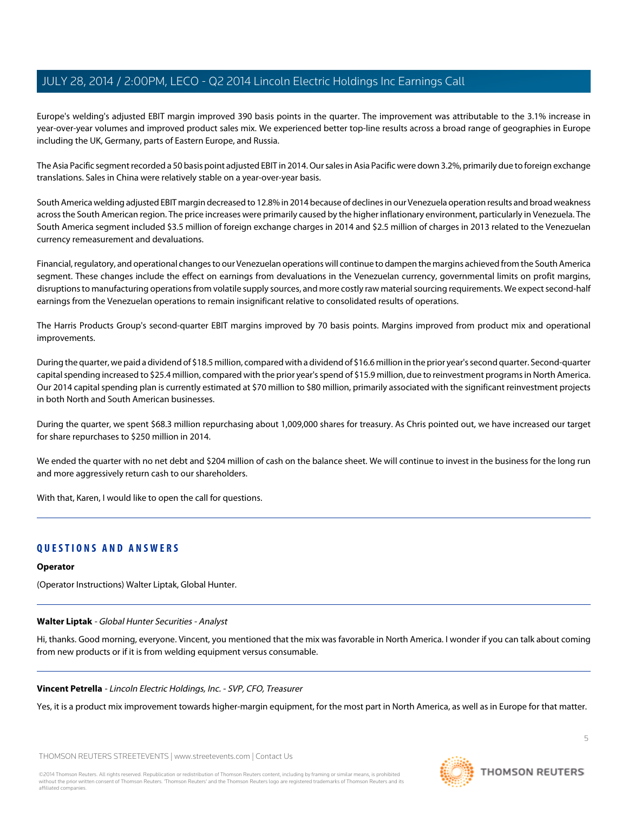Europe's welding's adjusted EBIT margin improved 390 basis points in the quarter. The improvement was attributable to the 3.1% increase in year-over-year volumes and improved product sales mix. We experienced better top-line results across a broad range of geographies in Europe including the UK, Germany, parts of Eastern Europe, and Russia.

The Asia Pacific segment recorded a 50 basis point adjusted EBIT in 2014. Our sales in Asia Pacific were down 3.2%, primarily due to foreign exchange translations. Sales in China were relatively stable on a year-over-year basis.

South America welding adjusted EBIT margin decreased to 12.8% in 2014 because of declines in our Venezuela operation results and broad weakness across the South American region. The price increases were primarily caused by the higher inflationary environment, particularly in Venezuela. The South America segment included \$3.5 million of foreign exchange charges in 2014 and \$2.5 million of charges in 2013 related to the Venezuelan currency remeasurement and devaluations.

Financial, regulatory, and operational changes to our Venezuelan operations will continue to dampen the margins achieved from the South America segment. These changes include the effect on earnings from devaluations in the Venezuelan currency, governmental limits on profit margins, disruptions to manufacturing operations from volatile supply sources, and more costly raw material sourcing requirements. We expect second-half earnings from the Venezuelan operations to remain insignificant relative to consolidated results of operations.

The Harris Products Group's second-quarter EBIT margins improved by 70 basis points. Margins improved from product mix and operational improvements.

During the quarter, we paid a dividend of \$18.5 million, compared with a dividend of \$16.6 million in the prior year's second quarter. Second-quarter capital spending increased to \$25.4 million, compared with the prior year's spend of \$15.9 million, due to reinvestment programs in North America. Our 2014 capital spending plan is currently estimated at \$70 million to \$80 million, primarily associated with the significant reinvestment projects in both North and South American businesses.

During the quarter, we spent \$68.3 million repurchasing about 1,009,000 shares for treasury. As Chris pointed out, we have increased our target for share repurchases to \$250 million in 2014.

We ended the quarter with no net debt and \$204 million of cash on the balance sheet. We will continue to invest in the business for the long run and more aggressively return cash to our shareholders.

With that, Karen, I would like to open the call for questions.

# **QUESTIONS AND ANSWERS**

#### <span id="page-4-0"></span>**Operator**

(Operator Instructions) Walter Liptak, Global Hunter.

# **Walter Liptak** - Global Hunter Securities - Analyst

Hi, thanks. Good morning, everyone. Vincent, you mentioned that the mix was favorable in North America. I wonder if you can talk about coming from new products or if it is from welding equipment versus consumable.

# **Vincent Petrella** - Lincoln Electric Holdings, Inc. - SVP, CFO, Treasurer

Yes, it is a product mix improvement towards higher-margin equipment, for the most part in North America, as well as in Europe for that matter.

THOMSON REUTERS STREETEVENTS | [www.streetevents.com](http://www.streetevents.com) | [Contact Us](http://www010.streetevents.com/contact.asp)

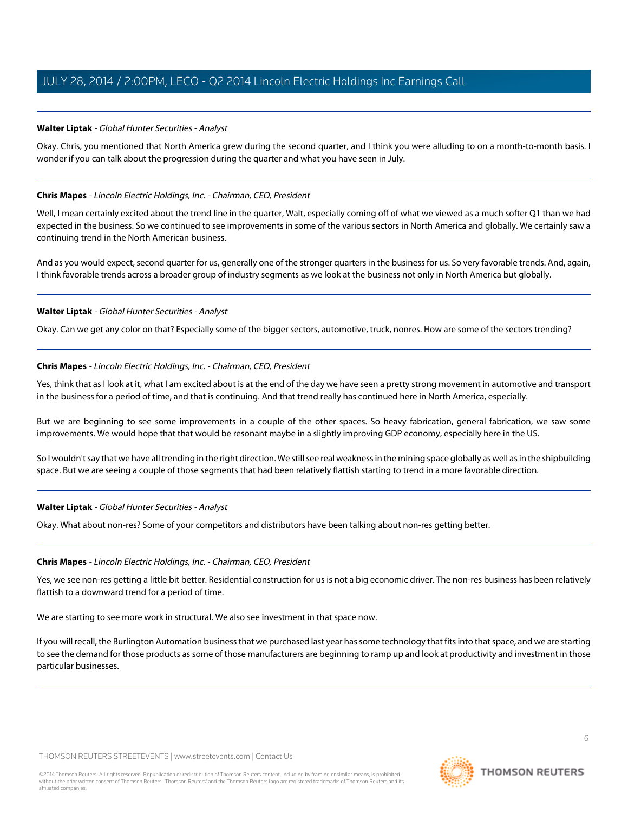# **Walter Liptak** - Global Hunter Securities - Analyst

Okay. Chris, you mentioned that North America grew during the second quarter, and I think you were alluding to on a month-to-month basis. I wonder if you can talk about the progression during the quarter and what you have seen in July.

# **Chris Mapes** - Lincoln Electric Holdings, Inc. - Chairman, CEO, President

Well, I mean certainly excited about the trend line in the quarter, Walt, especially coming off of what we viewed as a much softer Q1 than we had expected in the business. So we continued to see improvements in some of the various sectors in North America and globally. We certainly saw a continuing trend in the North American business.

And as you would expect, second quarter for us, generally one of the stronger quarters in the business for us. So very favorable trends. And, again, I think favorable trends across a broader group of industry segments as we look at the business not only in North America but globally.

# **Walter Liptak** - Global Hunter Securities - Analyst

Okay. Can we get any color on that? Especially some of the bigger sectors, automotive, truck, nonres. How are some of the sectors trending?

# **Chris Mapes** - Lincoln Electric Holdings, Inc. - Chairman, CEO, President

Yes, think that as I look at it, what I am excited about is at the end of the day we have seen a pretty strong movement in automotive and transport in the business for a period of time, and that is continuing. And that trend really has continued here in North America, especially.

But we are beginning to see some improvements in a couple of the other spaces. So heavy fabrication, general fabrication, we saw some improvements. We would hope that that would be resonant maybe in a slightly improving GDP economy, especially here in the US.

So I wouldn't say that we have all trending in the right direction. We still see real weakness in the mining space globally as well as in the shipbuilding space. But we are seeing a couple of those segments that had been relatively flattish starting to trend in a more favorable direction.

#### **Walter Liptak** - Global Hunter Securities - Analyst

Okay. What about non-res? Some of your competitors and distributors have been talking about non-res getting better.

#### **Chris Mapes** - Lincoln Electric Holdings, Inc. - Chairman, CEO, President

Yes, we see non-res getting a little bit better. Residential construction for us is not a big economic driver. The non-res business has been relatively flattish to a downward trend for a period of time.

We are starting to see more work in structural. We also see investment in that space now.

If you will recall, the Burlington Automation business that we purchased last year has some technology that fits into that space, and we are starting to see the demand for those products as some of those manufacturers are beginning to ramp up and look at productivity and investment in those particular businesses.

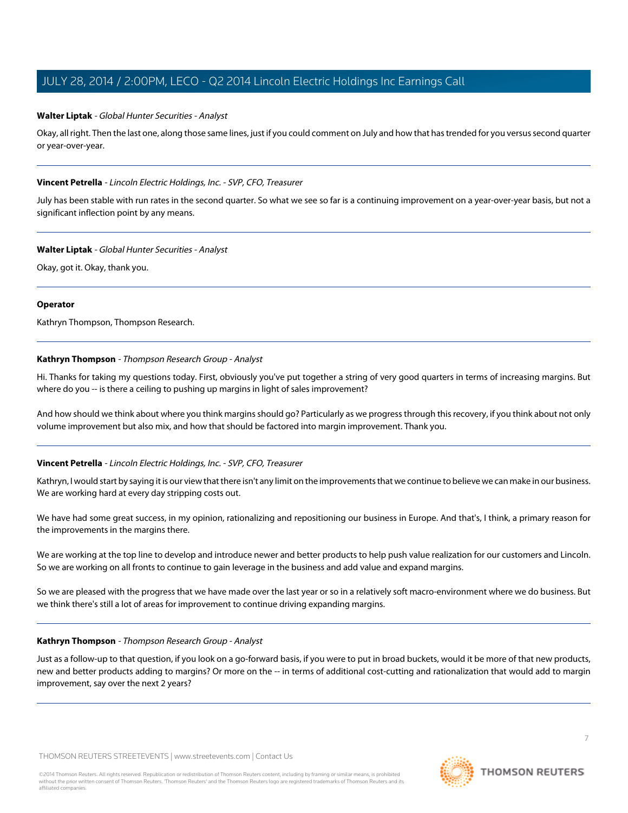# **Walter Liptak** - Global Hunter Securities - Analyst

Okay, all right. Then the last one, along those same lines, just if you could comment on July and how that has trended for you versus second quarter or year-over-year.

#### **Vincent Petrella** - Lincoln Electric Holdings, Inc. - SVP, CFO, Treasurer

July has been stable with run rates in the second quarter. So what we see so far is a continuing improvement on a year-over-year basis, but not a significant inflection point by any means.

#### **Walter Liptak** - Global Hunter Securities - Analyst

Okay, got it. Okay, thank you.

#### **Operator**

<span id="page-6-0"></span>Kathryn Thompson, Thompson Research.

# **Kathryn Thompson** - Thompson Research Group - Analyst

Hi. Thanks for taking my questions today. First, obviously you've put together a string of very good quarters in terms of increasing margins. But where do you -- is there a ceiling to pushing up margins in light of sales improvement?

And how should we think about where you think margins should go? Particularly as we progress through this recovery, if you think about not only volume improvement but also mix, and how that should be factored into margin improvement. Thank you.

# **Vincent Petrella** - Lincoln Electric Holdings, Inc. - SVP, CFO, Treasurer

Kathryn, I would start by saying it is our view that there isn't any limit on the improvements that we continue to believe we can make in our business. We are working hard at every day stripping costs out.

We have had some great success, in my opinion, rationalizing and repositioning our business in Europe. And that's, I think, a primary reason for the improvements in the margins there.

We are working at the top line to develop and introduce newer and better products to help push value realization for our customers and Lincoln. So we are working on all fronts to continue to gain leverage in the business and add value and expand margins.

So we are pleased with the progress that we have made over the last year or so in a relatively soft macro-environment where we do business. But we think there's still a lot of areas for improvement to continue driving expanding margins.

#### **Kathryn Thompson** - Thompson Research Group - Analyst

Just as a follow-up to that question, if you look on a go-forward basis, if you were to put in broad buckets, would it be more of that new products, new and better products adding to margins? Or more on the -- in terms of additional cost-cutting and rationalization that would add to margin improvement, say over the next 2 years?

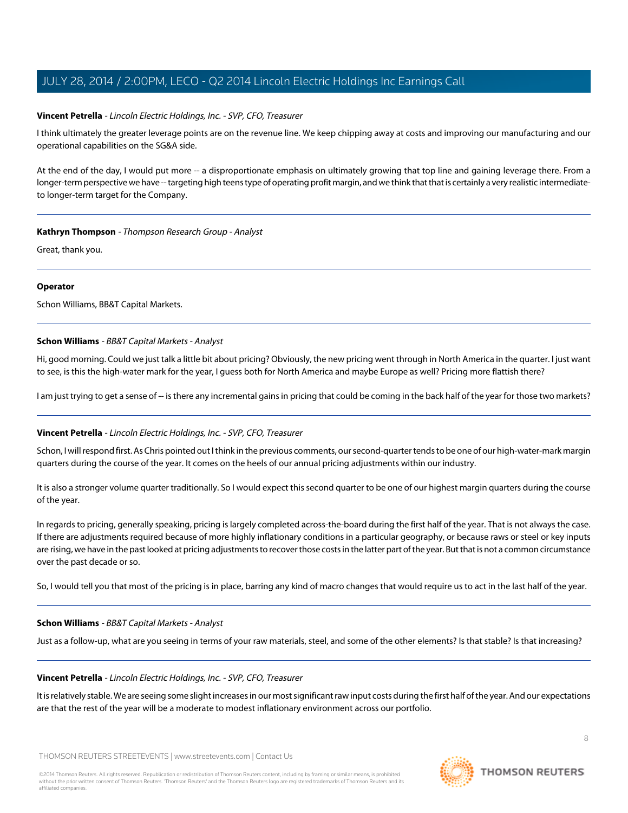# **Vincent Petrella** - Lincoln Electric Holdings, Inc. - SVP, CFO, Treasurer

I think ultimately the greater leverage points are on the revenue line. We keep chipping away at costs and improving our manufacturing and our operational capabilities on the SG&A side.

At the end of the day, I would put more -- a disproportionate emphasis on ultimately growing that top line and gaining leverage there. From a longer-term perspective we have -- targeting high teens type of operating profit margin, and we think that that is certainly a very realistic intermediateto longer-term target for the Company.

# **Kathryn Thompson** - Thompson Research Group - Analyst

Great, thank you.

# **Operator**

<span id="page-7-0"></span>Schon Williams, BB&T Capital Markets.

# **Schon Williams** - BB&T Capital Markets - Analyst

Hi, good morning. Could we just talk a little bit about pricing? Obviously, the new pricing went through in North America in the quarter. I just want to see, is this the high-water mark for the year, I guess both for North America and maybe Europe as well? Pricing more flattish there?

I am just trying to get a sense of -- is there any incremental gains in pricing that could be coming in the back half of the year for those two markets?

# **Vincent Petrella** - Lincoln Electric Holdings, Inc. - SVP, CFO, Treasurer

Schon, I will respond first. As Chris pointed out I think in the previous comments, our second-quarter tends to be one of our high-water-mark margin quarters during the course of the year. It comes on the heels of our annual pricing adjustments within our industry.

It is also a stronger volume quarter traditionally. So I would expect this second quarter to be one of our highest margin quarters during the course of the year.

In regards to pricing, generally speaking, pricing is largely completed across-the-board during the first half of the year. That is not always the case. If there are adjustments required because of more highly inflationary conditions in a particular geography, or because raws or steel or key inputs are rising, we have in the past looked at pricing adjustments to recover those costs in the latter part of the year. But that is not a common circumstance over the past decade or so.

So, I would tell you that most of the pricing is in place, barring any kind of macro changes that would require us to act in the last half of the year.

#### **Schon Williams** - BB&T Capital Markets - Analyst

Just as a follow-up, what are you seeing in terms of your raw materials, steel, and some of the other elements? Is that stable? Is that increasing?

#### **Vincent Petrella** - Lincoln Electric Holdings, Inc. - SVP, CFO, Treasurer

It is relatively stable. We are seeing some slight increases in our most significant raw input costs during the first half of the year. And our expectations are that the rest of the year will be a moderate to modest inflationary environment across our portfolio.

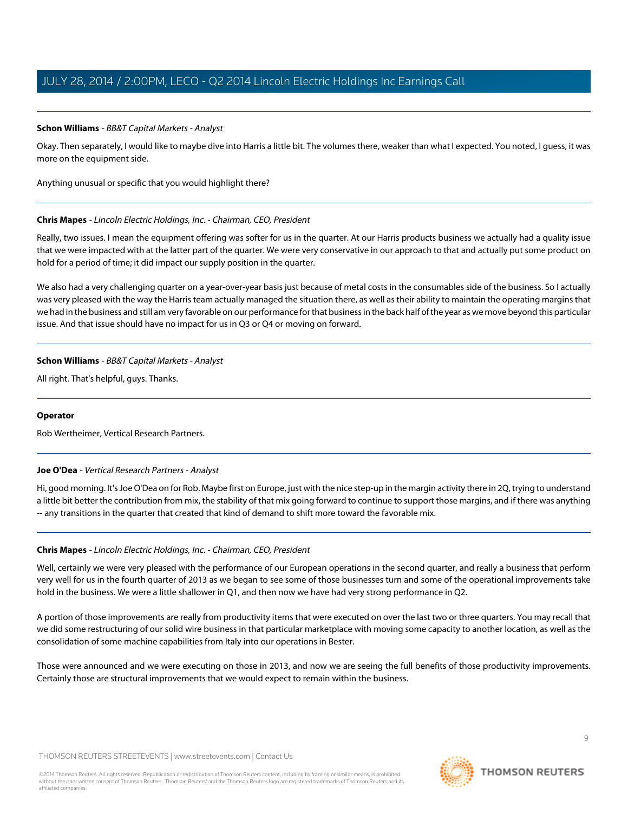# **Schon Williams** - BB&T Capital Markets - Analyst

Okay. Then separately, I would like to maybe dive into Harris a little bit. The volumes there, weaker than what I expected. You noted, I guess, it was more on the equipment side.

Anything unusual or specific that you would highlight there?

# **Chris Mapes** - Lincoln Electric Holdings, Inc. - Chairman, CEO, President

Really, two issues. I mean the equipment offering was softer for us in the quarter. At our Harris products business we actually had a quality issue that we were impacted with at the latter part of the quarter. We were very conservative in our approach to that and actually put some product on hold for a period of time; it did impact our supply position in the quarter.

We also had a very challenging quarter on a year-over-year basis just because of metal costs in the consumables side of the business. So I actually was very pleased with the way the Harris team actually managed the situation there, as well as their ability to maintain the operating margins that we had in the business and still am very favorable on our performance for that business in the back half of the year as we move beyond this particular issue. And that issue should have no impact for us in Q3 or Q4 or moving on forward.

# **Schon Williams** - BB&T Capital Markets - Analyst

All right. That's helpful, guys. Thanks.

# <span id="page-8-0"></span>**Operator**

Rob Wertheimer, Vertical Research Partners.

# **Joe O'Dea** - Vertical Research Partners - Analyst

Hi, good morning. It's Joe O'Dea on for Rob. Maybe first on Europe, just with the nice step-up in the margin activity there in 2Q, trying to understand a little bit better the contribution from mix, the stability of that mix going forward to continue to support those margins, and if there was anything -- any transitions in the quarter that created that kind of demand to shift more toward the favorable mix.

# **Chris Mapes** - Lincoln Electric Holdings, Inc. - Chairman, CEO, President

Well, certainly we were very pleased with the performance of our European operations in the second quarter, and really a business that perform very well for us in the fourth quarter of 2013 as we began to see some of those businesses turn and some of the operational improvements take hold in the business. We were a little shallower in Q1, and then now we have had very strong performance in Q2.

A portion of those improvements are really from productivity items that were executed on over the last two or three quarters. You may recall that we did some restructuring of our solid wire business in that particular marketplace with moving some capacity to another location, as well as the consolidation of some machine capabilities from Italy into our operations in Bester.

Those were announced and we were executing on those in 2013, and now we are seeing the full benefits of those productivity improvements. Certainly those are structural improvements that we would expect to remain within the business.

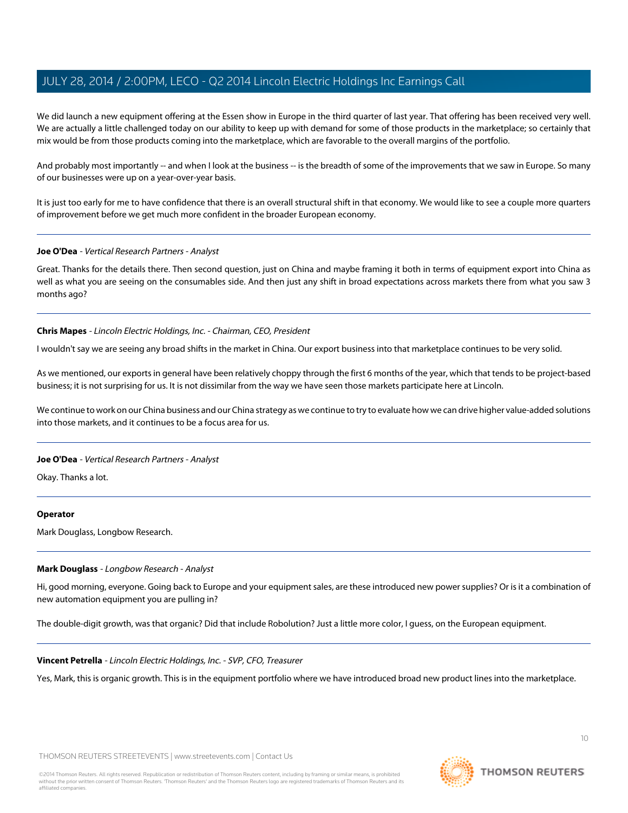We did launch a new equipment offering at the Essen show in Europe in the third quarter of last year. That offering has been received very well. We are actually a little challenged today on our ability to keep up with demand for some of those products in the marketplace; so certainly that mix would be from those products coming into the marketplace, which are favorable to the overall margins of the portfolio.

And probably most importantly -- and when I look at the business -- is the breadth of some of the improvements that we saw in Europe. So many of our businesses were up on a year-over-year basis.

It is just too early for me to have confidence that there is an overall structural shift in that economy. We would like to see a couple more quarters of improvement before we get much more confident in the broader European economy.

#### **Joe O'Dea** - Vertical Research Partners - Analyst

Great. Thanks for the details there. Then second question, just on China and maybe framing it both in terms of equipment export into China as well as what you are seeing on the consumables side. And then just any shift in broad expectations across markets there from what you saw 3 months ago?

# **Chris Mapes** - Lincoln Electric Holdings, Inc. - Chairman, CEO, President

I wouldn't say we are seeing any broad shifts in the market in China. Our export business into that marketplace continues to be very solid.

As we mentioned, our exports in general have been relatively choppy through the first 6 months of the year, which that tends to be project-based business; it is not surprising for us. It is not dissimilar from the way we have seen those markets participate here at Lincoln.

We continue to work on our China business and our China strategy as we continue to try to evaluate how we can drive higher value-added solutions into those markets, and it continues to be a focus area for us.

#### **Joe O'Dea** - Vertical Research Partners - Analyst

Okay. Thanks a lot.

#### <span id="page-9-0"></span>**Operator**

Mark Douglass, Longbow Research.

#### **Mark Douglass** - Longbow Research - Analyst

Hi, good morning, everyone. Going back to Europe and your equipment sales, are these introduced new power supplies? Or is it a combination of new automation equipment you are pulling in?

The double-digit growth, was that organic? Did that include Robolution? Just a little more color, I guess, on the European equipment.

#### **Vincent Petrella** - Lincoln Electric Holdings, Inc. - SVP, CFO, Treasurer

Yes, Mark, this is organic growth. This is in the equipment portfolio where we have introduced broad new product lines into the marketplace.



 $1<sup>0</sup>$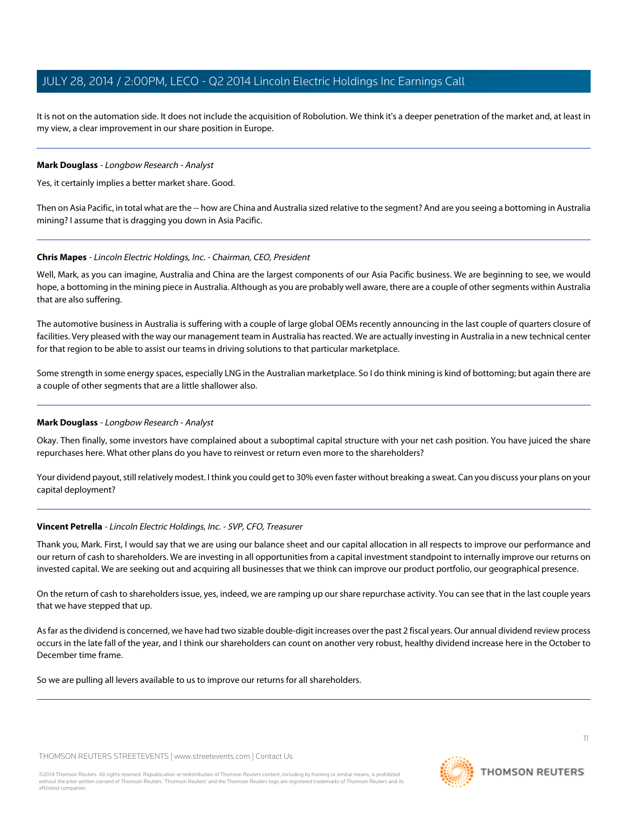It is not on the automation side. It does not include the acquisition of Robolution. We think it's a deeper penetration of the market and, at least in my view, a clear improvement in our share position in Europe.

# **Mark Douglass** - Longbow Research - Analyst

Yes, it certainly implies a better market share. Good.

Then on Asia Pacific, in total what are the -- how are China and Australia sized relative to the segment? And are you seeing a bottoming in Australia mining? I assume that is dragging you down in Asia Pacific.

# **Chris Mapes** - Lincoln Electric Holdings, Inc. - Chairman, CEO, President

Well, Mark, as you can imagine, Australia and China are the largest components of our Asia Pacific business. We are beginning to see, we would hope, a bottoming in the mining piece in Australia. Although as you are probably well aware, there are a couple of other segments within Australia that are also suffering.

The automotive business in Australia is suffering with a couple of large global OEMs recently announcing in the last couple of quarters closure of facilities. Very pleased with the way our management team in Australia has reacted. We are actually investing in Australia in a new technical center for that region to be able to assist our teams in driving solutions to that particular marketplace.

Some strength in some energy spaces, especially LNG in the Australian marketplace. So I do think mining is kind of bottoming; but again there are a couple of other segments that are a little shallower also.

# **Mark Douglass** - Longbow Research - Analyst

Okay. Then finally, some investors have complained about a suboptimal capital structure with your net cash position. You have juiced the share repurchases here. What other plans do you have to reinvest or return even more to the shareholders?

Your dividend payout, still relatively modest. I think you could get to 30% even faster without breaking a sweat. Can you discuss your plans on your capital deployment?

#### **Vincent Petrella** - Lincoln Electric Holdings, Inc. - SVP, CFO, Treasurer

Thank you, Mark. First, I would say that we are using our balance sheet and our capital allocation in all respects to improve our performance and our return of cash to shareholders. We are investing in all opportunities from a capital investment standpoint to internally improve our returns on invested capital. We are seeking out and acquiring all businesses that we think can improve our product portfolio, our geographical presence.

On the return of cash to shareholders issue, yes, indeed, we are ramping up our share repurchase activity. You can see that in the last couple years that we have stepped that up.

As far as the dividend is concerned, we have had two sizable double-digit increases over the past 2 fiscal years. Our annual dividend review process occurs in the late fall of the year, and I think our shareholders can count on another very robust, healthy dividend increase here in the October to December time frame.

So we are pulling all levers available to us to improve our returns for all shareholders.

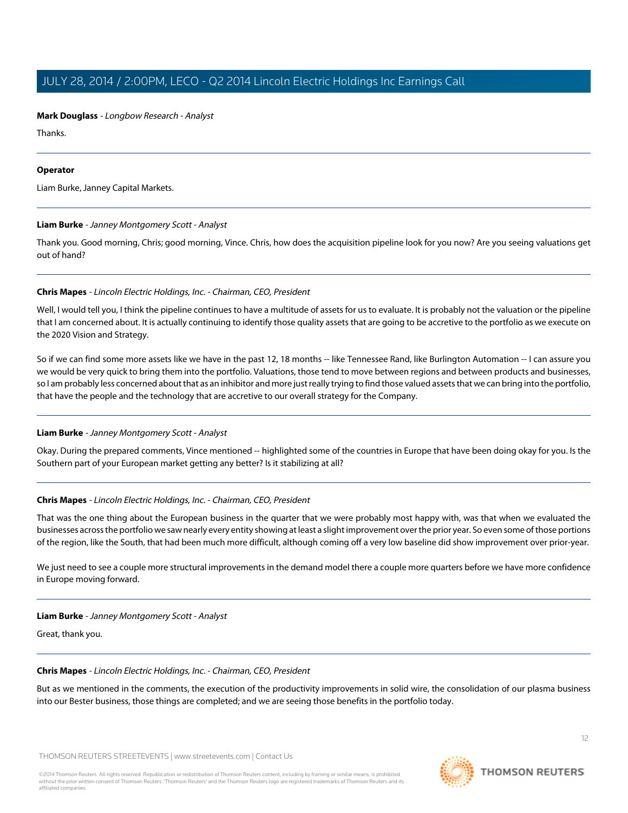# **Mark Douglass** - Longbow Research - Analyst

Thanks.

# **Operator**

<span id="page-11-0"></span>Liam Burke, Janney Capital Markets.

# **Liam Burke** - Janney Montgomery Scott - Analyst

Thank you. Good morning, Chris; good morning, Vince. Chris, how does the acquisition pipeline look for you now? Are you seeing valuations get out of hand?

# **Chris Mapes** - Lincoln Electric Holdings, Inc. - Chairman, CEO, President

Well, I would tell you, I think the pipeline continues to have a multitude of assets for us to evaluate. It is probably not the valuation or the pipeline that I am concerned about. It is actually continuing to identify those quality assets that are going to be accretive to the portfolio as we execute on the 2020 Vision and Strategy.

So if we can find some more assets like we have in the past 12, 18 months -- like Tennessee Rand, like Burlington Automation -- I can assure you we would be very quick to bring them into the portfolio. Valuations, those tend to move between regions and between products and businesses, so I am probably less concerned about that as an inhibitor and more just really trying to find those valued assets that we can bring into the portfolio, that have the people and the technology that are accretive to our overall strategy for the Company.

# **Liam Burke** - Janney Montgomery Scott - Analyst

Okay. During the prepared comments, Vince mentioned -- highlighted some of the countries in Europe that have been doing okay for you. Is the Southern part of your European market getting any better? Is it stabilizing at all?

# **Chris Mapes** - Lincoln Electric Holdings, Inc. - Chairman, CEO, President

That was the one thing about the European business in the quarter that we were probably most happy with, was that when we evaluated the businesses across the portfolio we saw nearly every entity showing at least a slight improvement over the prior year. So even some of those portions of the region, like the South, that had been much more difficult, although coming off a very low baseline did show improvement over prior-year.

We just need to see a couple more structural improvements in the demand model there a couple more quarters before we have more confidence in Europe moving forward.

# **Liam Burke** - Janney Montgomery Scott - Analyst

Great, thank you.

#### **Chris Mapes** - Lincoln Electric Holdings, Inc. - Chairman, CEO, President

But as we mentioned in the comments, the execution of the productivity improvements in solid wire, the consolidation of our plasma business into our Bester business, those things are completed; and we are seeing those benefits in the portfolio today.

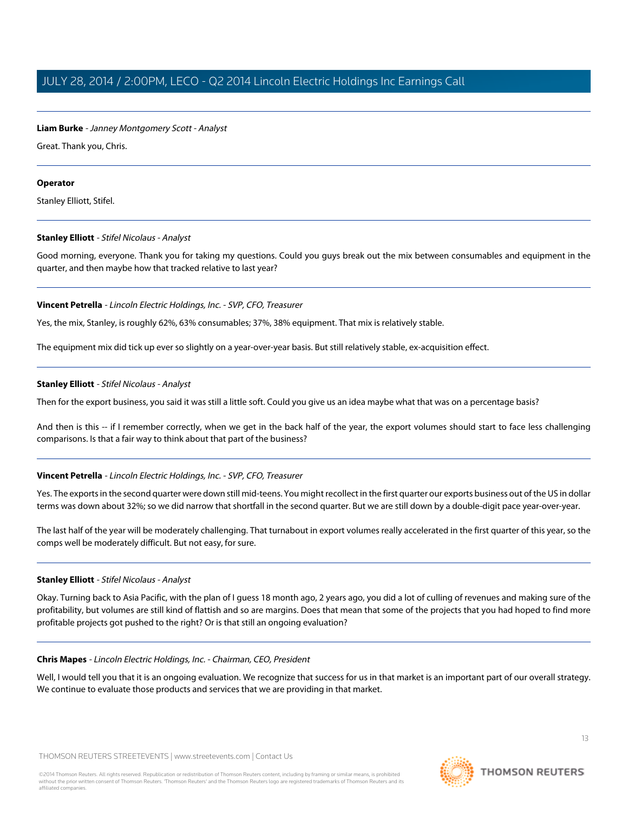# **Liam Burke** - Janney Montgomery Scott - Analyst

Great. Thank you, Chris.

# **Operator**

<span id="page-12-0"></span>Stanley Elliott, Stifel.

# **Stanley Elliott** - Stifel Nicolaus - Analyst

Good morning, everyone. Thank you for taking my questions. Could you guys break out the mix between consumables and equipment in the quarter, and then maybe how that tracked relative to last year?

# **Vincent Petrella** - Lincoln Electric Holdings, Inc. - SVP, CFO, Treasurer

Yes, the mix, Stanley, is roughly 62%, 63% consumables; 37%, 38% equipment. That mix is relatively stable.

The equipment mix did tick up ever so slightly on a year-over-year basis. But still relatively stable, ex-acquisition effect.

# **Stanley Elliott** - Stifel Nicolaus - Analyst

Then for the export business, you said it was still a little soft. Could you give us an idea maybe what that was on a percentage basis?

And then is this -- if I remember correctly, when we get in the back half of the year, the export volumes should start to face less challenging comparisons. Is that a fair way to think about that part of the business?

# **Vincent Petrella** - Lincoln Electric Holdings, Inc. - SVP, CFO, Treasurer

Yes. The exports in the second quarter were down still mid-teens. You might recollect in the first quarter our exports business out of the US in dollar terms was down about 32%; so we did narrow that shortfall in the second quarter. But we are still down by a double-digit pace year-over-year.

The last half of the year will be moderately challenging. That turnabout in export volumes really accelerated in the first quarter of this year, so the comps well be moderately difficult. But not easy, for sure.

# **Stanley Elliott** - Stifel Nicolaus - Analyst

Okay. Turning back to Asia Pacific, with the plan of I guess 18 month ago, 2 years ago, you did a lot of culling of revenues and making sure of the profitability, but volumes are still kind of flattish and so are margins. Does that mean that some of the projects that you had hoped to find more profitable projects got pushed to the right? Or is that still an ongoing evaluation?

# **Chris Mapes** - Lincoln Electric Holdings, Inc. - Chairman, CEO, President

Well, I would tell you that it is an ongoing evaluation. We recognize that success for us in that market is an important part of our overall strategy. We continue to evaluate those products and services that we are providing in that market.

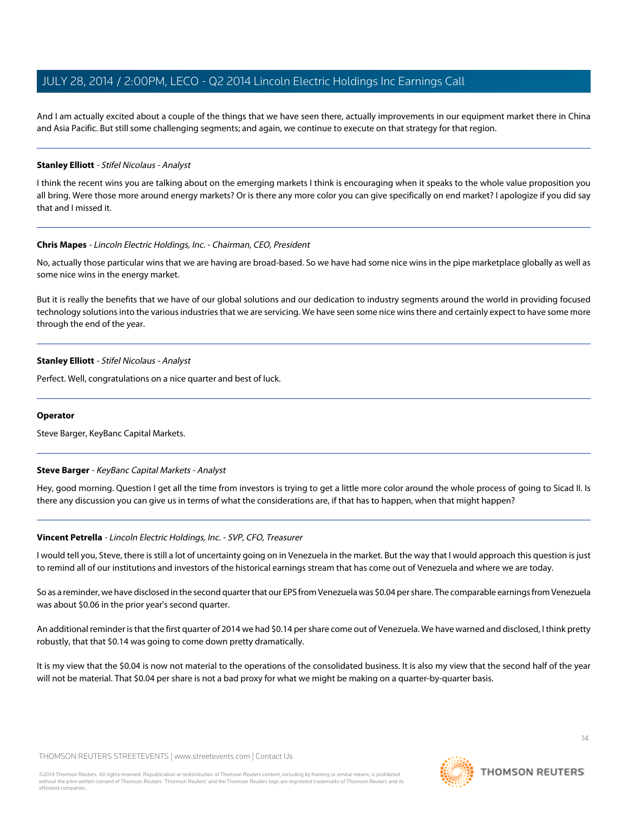And I am actually excited about a couple of the things that we have seen there, actually improvements in our equipment market there in China and Asia Pacific. But still some challenging segments; and again, we continue to execute on that strategy for that region.

#### **Stanley Elliott** - Stifel Nicolaus - Analyst

I think the recent wins you are talking about on the emerging markets I think is encouraging when it speaks to the whole value proposition you all bring. Were those more around energy markets? Or is there any more color you can give specifically on end market? I apologize if you did say that and I missed it.

#### **Chris Mapes** - Lincoln Electric Holdings, Inc. - Chairman, CEO, President

No, actually those particular wins that we are having are broad-based. So we have had some nice wins in the pipe marketplace globally as well as some nice wins in the energy market.

But it is really the benefits that we have of our global solutions and our dedication to industry segments around the world in providing focused technology solutions into the various industries that we are servicing. We have seen some nice wins there and certainly expect to have some more through the end of the year.

# **Stanley Elliott** - Stifel Nicolaus - Analyst

Perfect. Well, congratulations on a nice quarter and best of luck.

#### <span id="page-13-0"></span>**Operator**

Steve Barger, KeyBanc Capital Markets.

# **Steve Barger** - KeyBanc Capital Markets - Analyst

Hey, good morning. Question I get all the time from investors is trying to get a little more color around the whole process of going to Sicad II. Is there any discussion you can give us in terms of what the considerations are, if that has to happen, when that might happen?

# **Vincent Petrella** - Lincoln Electric Holdings, Inc. - SVP, CFO, Treasurer

I would tell you, Steve, there is still a lot of uncertainty going on in Venezuela in the market. But the way that I would approach this question is just to remind all of our institutions and investors of the historical earnings stream that has come out of Venezuela and where we are today.

So as a reminder, we have disclosed in the second quarter that our EPS from Venezuela was \$0.04 per share. The comparable earnings from Venezuela was about \$0.06 in the prior year's second quarter.

An additional reminder is that the first quarter of 2014 we had \$0.14 per share come out of Venezuela. We have warned and disclosed, I think pretty robustly, that that \$0.14 was going to come down pretty dramatically.

It is my view that the \$0.04 is now not material to the operations of the consolidated business. It is also my view that the second half of the year will not be material. That \$0.04 per share is not a bad proxy for what we might be making on a quarter-by-quarter basis.

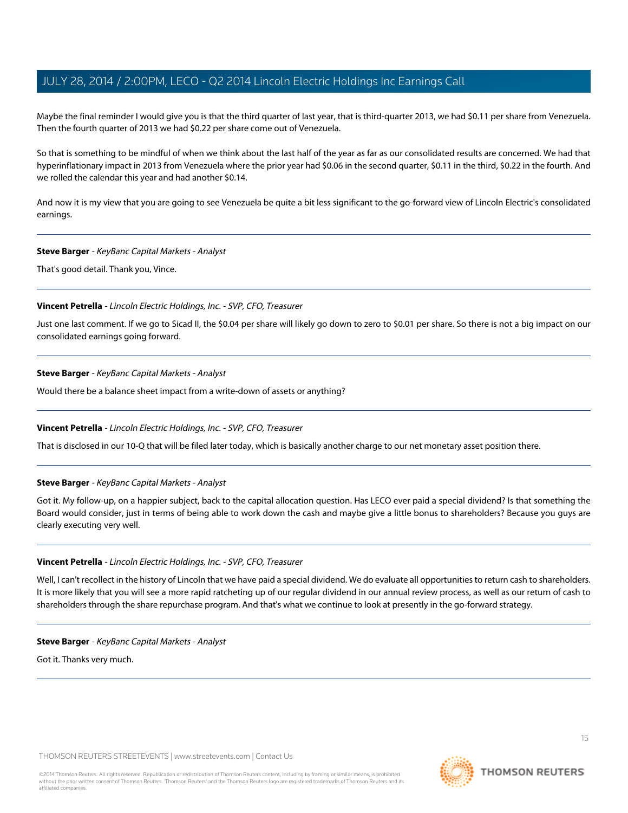Maybe the final reminder I would give you is that the third quarter of last year, that is third-quarter 2013, we had \$0.11 per share from Venezuela. Then the fourth quarter of 2013 we had \$0.22 per share come out of Venezuela.

So that is something to be mindful of when we think about the last half of the year as far as our consolidated results are concerned. We had that hyperinflationary impact in 2013 from Venezuela where the prior year had \$0.06 in the second quarter, \$0.11 in the third, \$0.22 in the fourth. And we rolled the calendar this year and had another \$0.14.

And now it is my view that you are going to see Venezuela be quite a bit less significant to the go-forward view of Lincoln Electric's consolidated earnings.

#### **Steve Barger** - KeyBanc Capital Markets - Analyst

That's good detail. Thank you, Vince.

#### **Vincent Petrella** - Lincoln Electric Holdings, Inc. - SVP, CFO, Treasurer

Just one last comment. If we go to Sicad II, the \$0.04 per share will likely go down to zero to \$0.01 per share. So there is not a big impact on our consolidated earnings going forward.

#### **Steve Barger** - KeyBanc Capital Markets - Analyst

Would there be a balance sheet impact from a write-down of assets or anything?

#### **Vincent Petrella** - Lincoln Electric Holdings, Inc. - SVP, CFO, Treasurer

That is disclosed in our 10-Q that will be filed later today, which is basically another charge to our net monetary asset position there.

#### **Steve Barger** - KeyBanc Capital Markets - Analyst

Got it. My follow-up, on a happier subject, back to the capital allocation question. Has LECO ever paid a special dividend? Is that something the Board would consider, just in terms of being able to work down the cash and maybe give a little bonus to shareholders? Because you guys are clearly executing very well.

#### **Vincent Petrella** - Lincoln Electric Holdings, Inc. - SVP, CFO, Treasurer

Well, I can't recollect in the history of Lincoln that we have paid a special dividend. We do evaluate all opportunities to return cash to shareholders. It is more likely that you will see a more rapid ratcheting up of our regular dividend in our annual review process, as well as our return of cash to shareholders through the share repurchase program. And that's what we continue to look at presently in the go-forward strategy.

#### **Steve Barger** - KeyBanc Capital Markets - Analyst

Got it. Thanks very much.

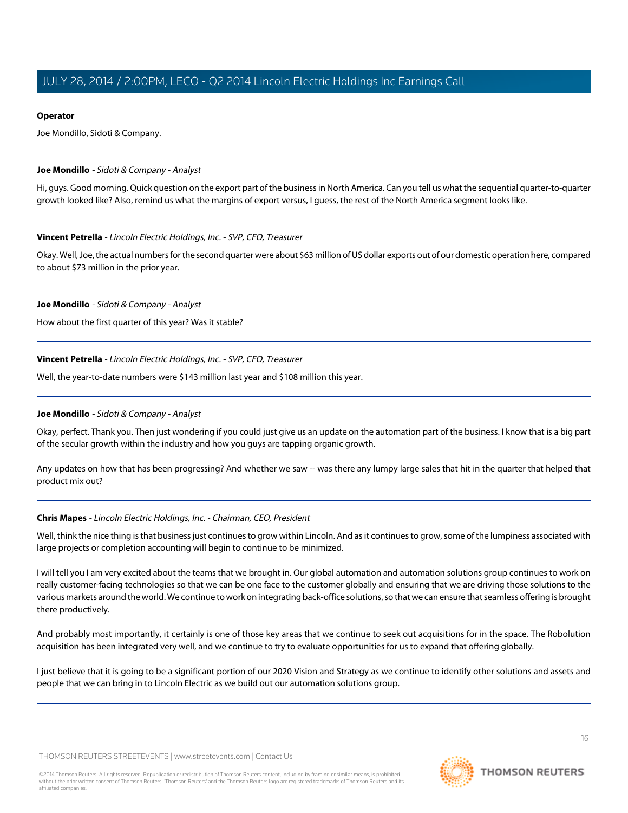# **Operator**

Joe Mondillo, Sidoti & Company.

# <span id="page-15-0"></span>**Joe Mondillo** - Sidoti & Company - Analyst

Hi, guys. Good morning. Quick question on the export part of the business in North America. Can you tell us what the sequential quarter-to-quarter growth looked like? Also, remind us what the margins of export versus, I guess, the rest of the North America segment looks like.

# **Vincent Petrella** - Lincoln Electric Holdings, Inc. - SVP, CFO, Treasurer

Okay. Well, Joe, the actual numbers for the second quarter were about \$63 million of US dollar exports out of our domestic operation here, compared to about \$73 million in the prior year.

# **Joe Mondillo** - Sidoti & Company - Analyst

How about the first quarter of this year? Was it stable?

# **Vincent Petrella** - Lincoln Electric Holdings, Inc. - SVP, CFO, Treasurer

Well, the year-to-date numbers were \$143 million last year and \$108 million this year.

# **Joe Mondillo** - Sidoti & Company - Analyst

Okay, perfect. Thank you. Then just wondering if you could just give us an update on the automation part of the business. I know that is a big part of the secular growth within the industry and how you guys are tapping organic growth.

Any updates on how that has been progressing? And whether we saw -- was there any lumpy large sales that hit in the quarter that helped that product mix out?

# **Chris Mapes** - Lincoln Electric Holdings, Inc. - Chairman, CEO, President

Well, think the nice thing is that business just continues to grow within Lincoln. And as it continues to grow, some of the lumpiness associated with large projects or completion accounting will begin to continue to be minimized.

I will tell you I am very excited about the teams that we brought in. Our global automation and automation solutions group continues to work on really customer-facing technologies so that we can be one face to the customer globally and ensuring that we are driving those solutions to the various markets around the world. We continue to work on integrating back-office solutions, so that we can ensure that seamless offering is brought there productively.

And probably most importantly, it certainly is one of those key areas that we continue to seek out acquisitions for in the space. The Robolution acquisition has been integrated very well, and we continue to try to evaluate opportunities for us to expand that offering globally.

I just believe that it is going to be a significant portion of our 2020 Vision and Strategy as we continue to identify other solutions and assets and people that we can bring in to Lincoln Electric as we build out our automation solutions group.

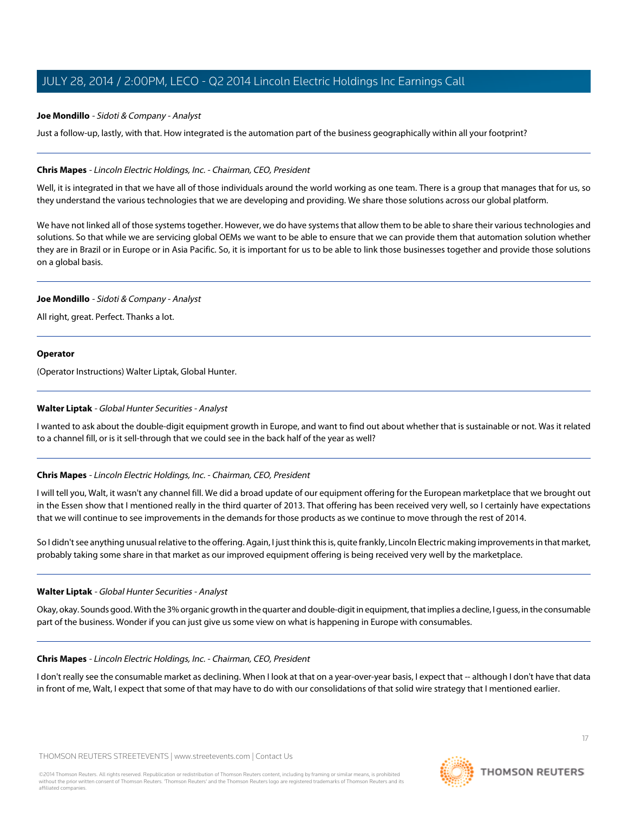# **Joe Mondillo** - Sidoti & Company - Analyst

Just a follow-up, lastly, with that. How integrated is the automation part of the business geographically within all your footprint?

#### **Chris Mapes** - Lincoln Electric Holdings, Inc. - Chairman, CEO, President

Well, it is integrated in that we have all of those individuals around the world working as one team. There is a group that manages that for us, so they understand the various technologies that we are developing and providing. We share those solutions across our global platform.

We have not linked all of those systems together. However, we do have systems that allow them to be able to share their various technologies and solutions. So that while we are servicing global OEMs we want to be able to ensure that we can provide them that automation solution whether they are in Brazil or in Europe or in Asia Pacific. So, it is important for us to be able to link those businesses together and provide those solutions on a global basis.

#### **Joe Mondillo** - Sidoti & Company - Analyst

All right, great. Perfect. Thanks a lot.

# **Operator**

(Operator Instructions) Walter Liptak, Global Hunter.

# **Walter Liptak** - Global Hunter Securities - Analyst

I wanted to ask about the double-digit equipment growth in Europe, and want to find out about whether that is sustainable or not. Was it related to a channel fill, or is it sell-through that we could see in the back half of the year as well?

# **Chris Mapes** - Lincoln Electric Holdings, Inc. - Chairman, CEO, President

I will tell you, Walt, it wasn't any channel fill. We did a broad update of our equipment offering for the European marketplace that we brought out in the Essen show that I mentioned really in the third quarter of 2013. That offering has been received very well, so I certainly have expectations that we will continue to see improvements in the demands for those products as we continue to move through the rest of 2014.

So I didn't see anything unusual relative to the offering. Again, I just think this is, quite frankly, Lincoln Electric making improvements in that market, probably taking some share in that market as our improved equipment offering is being received very well by the marketplace.

#### **Walter Liptak** - Global Hunter Securities - Analyst

Okay, okay. Sounds good. With the 3% organic growth in the quarter and double-digit in equipment, that implies a decline, I guess, in the consumable part of the business. Wonder if you can just give us some view on what is happening in Europe with consumables.

# **Chris Mapes** - Lincoln Electric Holdings, Inc. - Chairman, CEO, President

I don't really see the consumable market as declining. When I look at that on a year-over-year basis, I expect that -- although I don't have that data in front of me, Walt, I expect that some of that may have to do with our consolidations of that solid wire strategy that I mentioned earlier.